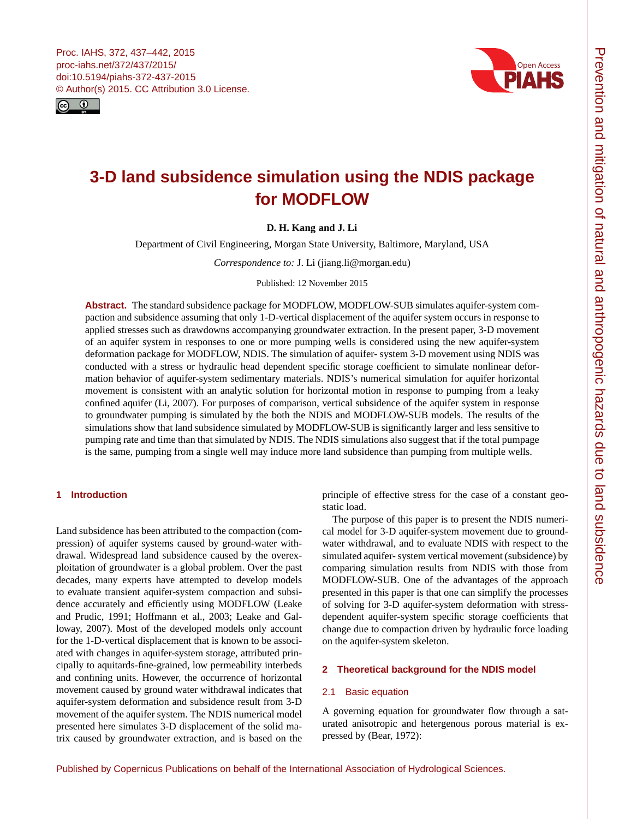<span id="page-0-0"></span>



# **3-D land subsidence simulation using the NDIS package for MODFLOW**

# **D. H. Kang and J. Li**

Department of Civil Engineering, Morgan State University, Baltimore, Maryland, USA

*Correspondence to:* J. Li (jiang.li@morgan.edu)

Published: 12 November 2015

**Abstract.** The standard subsidence package for MODFLOW, MODFLOW-SUB simulates aquifer-system compaction and subsidence assuming that only 1-D-vertical displacement of the aquifer system occurs in response to applied stresses such as drawdowns accompanying groundwater extraction. In the present paper, 3-D movement of an aquifer system in responses to one or more pumping wells is considered using the new aquifer-system deformation package for MODFLOW, NDIS. The simulation of aquifer- system 3-D movement using NDIS was conducted with a stress or hydraulic head dependent specific storage coefficient to simulate nonlinear deformation behavior of aquifer-system sedimentary materials. NDIS's numerical simulation for aquifer horizontal movement is consistent with an analytic solution for horizontal motion in response to pumping from a leaky confined aquifer (Li, 2007). For purposes of comparison, vertical subsidence of the aquifer system in response to groundwater pumping is simulated by the both the NDIS and MODFLOW-SUB models. The results of the simulations show that land subsidence simulated by MODFLOW-SUB is significantly larger and less sensitive to pumping rate and time than that simulated by NDIS. The NDIS simulations also suggest that if the total pumpage is the same, pumping from a single well may induce more land subsidence than pumping from multiple wells.

# **1 Introduction**

Land subsidence has been attributed to the compaction (compression) of aquifer systems caused by ground-water withdrawal. Widespread land subsidence caused by the overexploitation of groundwater is a global problem. Over the past decades, many experts have attempted to develop models to evaluate transient aquifer-system compaction and subsidence accurately and efficiently using MODFLOW (Leake and Prudic, 1991; Hoffmann et al., 2003; Leake and Galloway, 2007). Most of the developed models only account for the 1-D-vertical displacement that is known to be associated with changes in aquifer-system storage, attributed principally to aquitards-fine-grained, low permeability interbeds and confining units. However, the occurrence of horizontal movement caused by ground water withdrawal indicates that aquifer-system deformation and subsidence result from 3-D movement of the aquifer system. The NDIS numerical model presented here simulates 3-D displacement of the solid matrix caused by groundwater extraction, and is based on the

principle of effective stress for the case of a constant geostatic load.

The purpose of this paper is to present the NDIS numerical model for 3-D aquifer-system movement due to groundwater withdrawal, and to evaluate NDIS with respect to the simulated aquifer- system vertical movement (subsidence) by comparing simulation results from NDIS with those from MODFLOW-SUB. One of the advantages of the approach presented in this paper is that one can simplify the processes of solving for 3-D aquifer-system deformation with stressdependent aquifer-system specific storage coefficients that change due to compaction driven by hydraulic force loading on the aquifer-system skeleton.

# **2 Theoretical background for the NDIS model**

## 2.1 Basic equation

A governing equation for groundwater flow through a saturated anisotropic and hetergenous porous material is expressed by (Bear, 1972):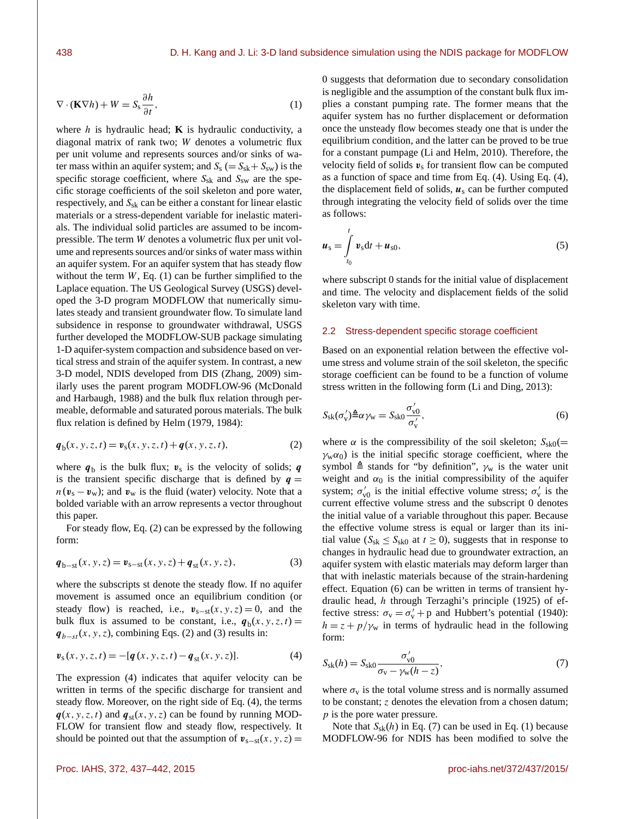$$
\nabla \cdot (\mathbf{K} \nabla h) + W = S_{\rm s} \frac{\partial h}{\partial t},\tag{1}
$$

where  $h$  is hydraulic head; **K** is hydraulic conductivity, a diagonal matrix of rank two; W denotes a volumetric flux per unit volume and represents sources and/or sinks of water mass within an aquifer system; and  $S_s (= S_{sk} + S_{sw})$  is the specific storage coefficient, where  $S_{sk}$  and  $S_{sw}$  are the specific storage coefficients of the soil skeleton and pore water, respectively, and  $S_{sk}$  can be either a constant for linear elastic materials or a stress-dependent variable for inelastic materials. The individual solid particles are assumed to be incompressible. The term W denotes a volumetric flux per unit volume and represents sources and/or sinks of water mass within an aquifer system. For an aquifer system that has steady flow without the term  $W$ , Eq. (1) can be further simplified to the Laplace equation. The US Geological Survey (USGS) developed the 3-D program MODFLOW that numerically simulates steady and transient groundwater flow. To simulate land subsidence in response to groundwater withdrawal, USGS further developed the MODFLOW-SUB package simulating 1-D aquifer-system compaction and subsidence based on vertical stress and strain of the aquifer system. In contrast, a new 3-D model, NDIS developed from DIS (Zhang, 2009) similarly uses the parent program MODFLOW-96 (McDonald and Harbaugh, 1988) and the bulk flux relation through permeable, deformable and saturated porous materials. The bulk flux relation is defined by Helm (1979, 1984):

$$
\mathbf{q}_b(x, y, z, t) = \mathbf{v}_s(x, y, z, t) + \mathbf{q}(x, y, z, t),
$$
 (2)

where  $q_b$  is the bulk flux;  $v_s$  is the velocity of solids; q is the transient specific discharge that is defined by  $q =$  $n(\mathbf{v}_s - \mathbf{v}_w)$ ; and  $\mathbf{v}_w$  is the fluid (water) velocity. Note that a bolded variable with an arrow represents a vector throughout this paper.

For steady flow, Eq. (2) can be expressed by the following form:

$$
\boldsymbol{q}_{b-st}(x, y, z) = \boldsymbol{v}_{s-st}(x, y, z) + \boldsymbol{q}_{st}(x, y, z),
$$
\n(3)

where the subscripts st denote the steady flow. If no aquifer movement is assumed once an equilibrium condition (or steady flow) is reached, i.e.,  $v_{s-st}(x, y, z) = 0$ , and the bulk flux is assumed to be constant, i.e.,  $q_b(x, y, z, t) =$  $q_{b-st}(x, y, z)$ , combining Eqs. (2) and (3) results in:

$$
\mathbf{v}_{\rm s}(x, y, z, t) = -[\mathbf{q}(x, y, z, t) - \mathbf{q}_{\rm st}(x, y, z)]. \tag{4}
$$

The expression (4) indicates that aquifer velocity can be written in terms of the specific discharge for transient and steady flow. Moreover, on the right side of Eq. (4), the terms  $q(x, y, z, t)$  and  $q_{st}(x, y, z)$  can be found by running MOD-FLOW for transient flow and steady flow, respectively. It should be pointed out that the assumption of  $\mathbf{v}_{s-st}(x, y, z) =$  0 suggests that deformation due to secondary consolidation is negligible and the assumption of the constant bulk flux implies a constant pumping rate. The former means that the aquifer system has no further displacement or deformation once the unsteady flow becomes steady one that is under the equilibrium condition, and the latter can be proved to be true for a constant pumpage (Li and Helm, 2010). Therefore, the velocity field of solids  $v_s$  for transient flow can be computed as a function of space and time from Eq. (4). Using Eq. (4), the displacement field of solids,  $u_s$  can be further computed through integrating the velocity field of solids over the time as follows:

$$
u_{s} = \int_{t_{0}}^{t} v_{s} dt + u_{s0},
$$
\n(5)

where subscript 0 stands for the initial value of displacement and time. The velocity and displacement fields of the solid skeleton vary with time.

#### 2.2 Stress-dependent specific storage coefficient

Based on an exponential relation between the effective volume stress and volume strain of the soil skeleton, the specific storage coefficient can be found to be a function of volume stress written in the following form (Li and Ding, 2013):

$$
S_{\rm sk}(\sigma_{\rm v}') \triangleq \alpha \gamma_{\rm w} = S_{\rm sk0} \frac{\sigma_{\rm v0}'}{\sigma_{\rm v}'}\tag{6}
$$

where  $\alpha$  is the compressibility of the soil skeleton;  $S_{\rm sk0}(=$  $\gamma_w \alpha_0$ ) is the initial specific storage coefficient, where the symbol  $\triangleq$  stands for "by definition",  $\gamma_w$  is the water unit weight and  $\alpha_0$  is the initial compressibility of the aquifer system;  $\sigma'_{v0}$  is the initial effective volume stress;  $\sigma'_{v}$  is the current effective volume stress and the subscript 0 denotes the initial value of a variable throughout this paper. Because the effective volume stress is equal or larger than its initial value ( $S_{sk} \leq S_{sk0}$  at  $t \geq 0$ ), suggests that in response to changes in hydraulic head due to groundwater extraction, an aquifer system with elastic materials may deform larger than that with inelastic materials because of the strain-hardening effect. Equation (6) can be written in terms of transient hydraulic head, h through Terzaghi's principle (1925) of effective stress:  $\sigma_v = \sigma_v' + p$  and Hubbert's potential (1940):  $h = z + p/\gamma_w$  in terms of hydraulic head in the following form:

$$
S_{\rm sk}(h) = S_{\rm sk0} \frac{\sigma_{\rm v0}'}{\sigma_{\rm v} - \gamma_{\rm w}(h-z)},\tag{7}
$$

where  $\sigma_{v}$  is the total volume stress and is normally assumed to be constant; z denotes the elevation from a chosen datum; p is the pore water pressure.

Note that  $S_{sk}(h)$  in Eq. (7) can be used in Eq. (1) because MODFLOW-96 for NDIS has been modified to solve the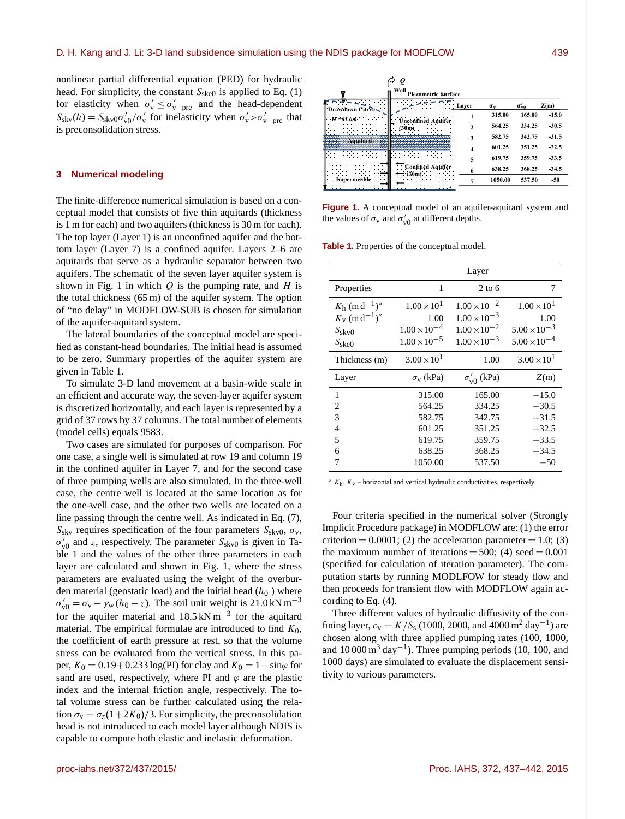nonlinear partial differential equation (PED) for hydraulic head. For simplicity, the constant  $S_{\text{ske0}}$  is applied to Eq. (1) for elasticity when  $\sigma'_{v} \leq \sigma'_{v-pre}$  and the head-dependent  $S_{\rm skv}(h) = S_{\rm skv0} \sigma_{\rm v0}^{\prime}/\sigma_{\rm v}^{\prime}$  for inelasticity when  $\sigma_{\rm v}^{\prime} > \sigma_{\rm v-pre}^{\prime}$  that is preconsolidation stress.

### **3 Numerical modeling**

The finite-difference numerical simulation is based on a conceptual model that consists of five thin aquitards (thickness is 1 m for each) and two aquifers (thickness is 30 m for each). The top layer (Layer 1) is an unconfined aquifer and the bottom layer (Layer 7) is a confined aquifer. Layers 2–6 are aquitards that serve as a hydraulic separator between two aquifers. The schematic of the seven layer aquifer system is shown in Fig. 1 in which  $Q$  is the pumping rate, and  $H$  is the total thickness (65 m) of the aquifer system. The option of "no delay" in MODFLOW-SUB is chosen for simulation of the aquifer-aquitard system.

The lateral boundaries of the conceptual model are specified as constant-head boundaries. The initial head is assumed to be zero. Summary properties of the aquifer system are given in Table 1.

To simulate 3-D land movement at a basin-wide scale in an efficient and accurate way, the seven-layer aquifer system is discretized horizontally, and each layer is represented by a grid of 37 rows by 37 columns. The total number of elements (model cells) equals 9583.

Two cases are simulated for purposes of comparison. For one case, a single well is simulated at row 19 and column 19 in the confined aquifer in Layer 7, and for the second case of three pumping wells are also simulated. In the three-well case, the centre well is located at the same location as for the one-well case, and the other two wells are located on a line passing through the centre well. As indicated in Eq. (7),  $S_{\rm sky}$  requires specification of the four parameters  $S_{\rm skv0}$ ,  $\sigma_{\rm v}$ ,  $\sigma'_{v0}$  and z, respectively. The parameter  $S_{\rm skv0}$  is given in Table 1 and the values of the other three parameters in each layer are calculated and shown in Fig. 1, where the stress parameters are evaluated using the weight of the overburden material (geostatic load) and the initial head  $(h_0)$  where  $\sigma'_{v0} = \sigma_v - \gamma_w (h_0 - z)$ . The soil unit weight is 21.0 kN m<sup>-3</sup> for the aquifer material and  $18.5 \text{ kN m}^{-3}$  for the aquitard material. The empirical formulae are introduced to find  $K_0$ , the coefficient of earth pressure at rest, so that the volume stress can be evaluated from the vertical stress. In this paper,  $K_0 = 0.19 + 0.233 \log(PI)$  for clay and  $K_0 = 1 - \sin\varphi$  for sand are used, respectively, where PI and  $\varphi$  are the plastic index and the internal friction angle, respectively. The total volume stress can be further calculated using the relation  $\sigma_{v} = \sigma_{z}(1+2K_0)/3$ . For simplicity, the preconsolidation head is not introduced to each model layer although NDIS is capable to compute both elastic and inelastic deformation.



**Figure 1.** A conceptual model of an aquifer-aquitard system and the values of  $\sigma_{\rm v}$  and  $\sigma_{\rm v0}'$  at different depths.

| <b>Table 1.</b> Properties of the conceptual model. |  |  |
|-----------------------------------------------------|--|--|
|-----------------------------------------------------|--|--|

|                                                                                                      |                                                          | Layer                                                                   |                                                                |
|------------------------------------------------------------------------------------------------------|----------------------------------------------------------|-------------------------------------------------------------------------|----------------------------------------------------------------|
| Properties                                                                                           | 1                                                        | $2$ to 6                                                                | 7                                                              |
| $K_h$ (m d <sup>-1</sup> ) <sup>*</sup><br>$K_v$ (m d <sup>-1</sup> ) <sup>*</sup><br>$S_{\rm skv0}$ | $1.00 \times 10^{1}$<br>1.00<br>$1.00 \times 10^{-4}$    | $1.00 \times 10^{-2}$<br>$1.00 \times 10^{-3}$<br>$1.00 \times 10^{-2}$ | $1.00 \times 10^{1}$<br>1.00<br>$5.00 \times 10^{-3}$          |
| $S_{\rm skeO}$<br>Thickness (m)                                                                      | $1.00 \times 10^{-5}$<br>$3.00 \times 10^{1}$            | $1.00 \times 10^{-3}$<br>1.00                                           | $5.00 \times 10^{-4}$<br>$3.00 \times 10^{1}$                  |
| Layer                                                                                                | $\sigma_{\rm v}$ (kPa)                                   | $\sigma_{v0}$ (kPa)                                                     | Z(m)                                                           |
| 1<br>2<br>3<br>4<br>5<br>6                                                                           | 315.00<br>564.25<br>582.75<br>601.25<br>619.75<br>638.25 | 165.00<br>334.25<br>342.75<br>351.25<br>359.75<br>368.25                | $-15.0$<br>$-30.5$<br>$-31.5$<br>$-32.5$<br>$-33.5$<br>$-34.5$ |
| 7                                                                                                    | 1050.00                                                  | 537.50                                                                  | $-50$                                                          |

<sup>∗</sup> <sup>K</sup><sup>h</sup> , Kv – horizontal and vertical hydraulic conductivities, respectively.

Four criteria specified in the numerical solver (Strongly Implicit Procedure package) in MODFLOW are: (1) the error criterion  $= 0.0001$ ; (2) the acceleration parameter  $= 1.0$ ; (3) the maximum number of iterations =  $500$ ; (4) seed =  $0.001$ (specified for calculation of iteration parameter). The computation starts by running MODLFOW for steady flow and then proceeds for transient flow with MODFLOW again according to Eq. (4).

Three different values of hydraulic diffusivity of the confining layer,  $c_v = K/S_s$  (1000, 2000, and 4000 m<sup>2</sup> day<sup>-1</sup>) are chosen along with three applied pumping rates (100, 1000, and  $10000 \text{ m}^3$  day<sup>-1</sup>). Three pumping periods (10, 100, and 1000 days) are simulated to evaluate the displacement sensitivity to various parameters.

Page 13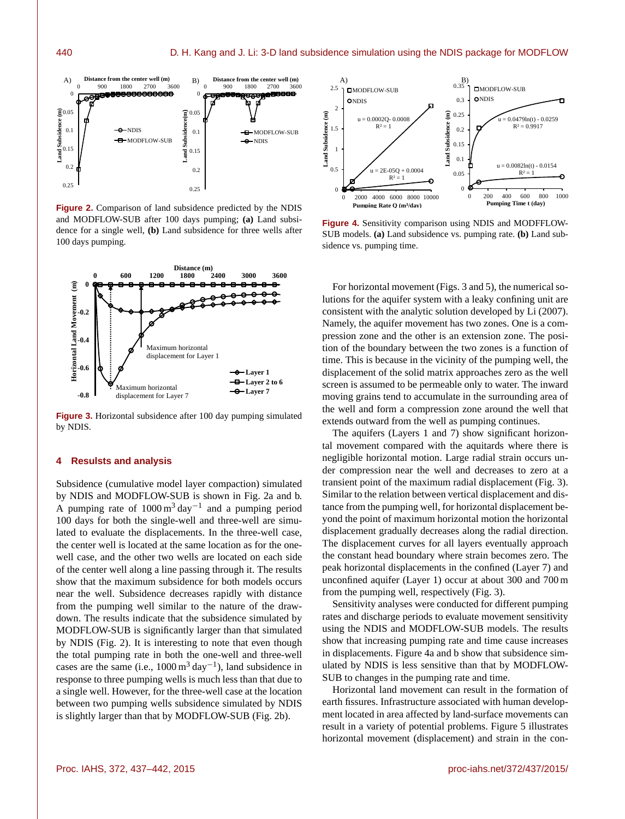

**Figure 2.** Comparison of land subsidence predicted by the NDIS and MODFLOW-SUB after 100 days pumping; **(a)** Land subsidence for a single well, **(b)** Land subsidence for three wells after 100 days pumping.



**Figure 3.** Horizontal subsidence after 100 day pumping simulated by NDIS.

## **4 Resulsts and analysis**

Subsidence (cumulative model layer compaction) simulated by NDIS and MODFLOW-SUB is shown in Fig. 2a and b. A pumping rate of  $1000 \text{ m}^3 \text{ day}^{-1}$  and a pumping period 100 days for both the single-well and three-well are simulated to evaluate the displacements. In the three-well case, the center well is located at the same location as for the onewell case, and the other two wells are located on each side of the center well along a line passing through it. The results show that the maximum subsidence for both models occurs near the well. Subsidence decreases rapidly with distance from the pumping well similar to the nature of the drawdown. The results indicate that the subsidence simulated by MODFLOW-SUB is significantly larger than that simulated by NDIS (Fig. 2). It is interesting to note that even though the total pumping rate in both the one-well and three-well cases are the same (i.e.,  $1000 \text{ m}^3 \text{ day}^{-1}$ ), land subsidence in response to three pumping wells is much less than that due to a single well. However, for the three-well case at the location between two pumping wells subsidence simulated by NDIS is slightly larger than that by MODFLOW-SUB (Fig. 2b).



**Figure 4.** Sensitivity comparison using NDIS and MODFFLOW-SUB models. **(a)** Land subsidence vs. pumping rate. **(b)** Land subsidence vs. pumping time.

For horizontal movement (Figs. 3 and 5), the numerical solutions for the aquifer system with a leaky confining unit are consistent with the analytic solution developed by Li (2007). Namely, the aquifer movement has two zones. One is a compression zone and the other is an extension zone. The position of the boundary between the two zones is a function of time. This is because in the vicinity of the pumping well, the displacement of the solid matrix approaches zero as the well screen is assumed to be permeable only to water. The inward moving grains tend to accumulate in the surrounding area of the well and form a compression zone around the well that extends outward from the well as pumping continues.

The aquifers (Layers 1 and 7) show significant horizontal movement compared with the aquitards where there is negligible horizontal motion. Large radial strain occurs under compression near the well and decreases to zero at a transient point of the maximum radial displacement (Fig. 3). Similar to the relation between vertical displacement and distance from the pumping well, for horizontal displacement beyond the point of maximum horizontal motion the horizontal displacement gradually decreases along the radial direction. The displacement curves for all layers eventually approach the constant head boundary where strain becomes zero. The peak horizontal displacements in the confined (Layer 7) and unconfined aquifer (Layer 1) occur at about 300 and 700 m from the pumping well, respectively (Fig. 3).

Sensitivity analyses were conducted for different pumping rates and discharge periods to evaluate movement sensitivity using the NDIS and MODFLOW-SUB models. The results show that increasing pumping rate and time cause increases in displacements. Figure 4a and b show that subsidence simulated by NDIS is less sensitive than that by MODFLOW-SUB to changes in the pumping rate and time.

Horizontal land movement can result in the formation of earth fissures. Infrastructure associated with human development located in area affected by land-surface movements can result in a variety of potential problems. Figure 5 illustrates horizontal movement (displacement) and strain in the con-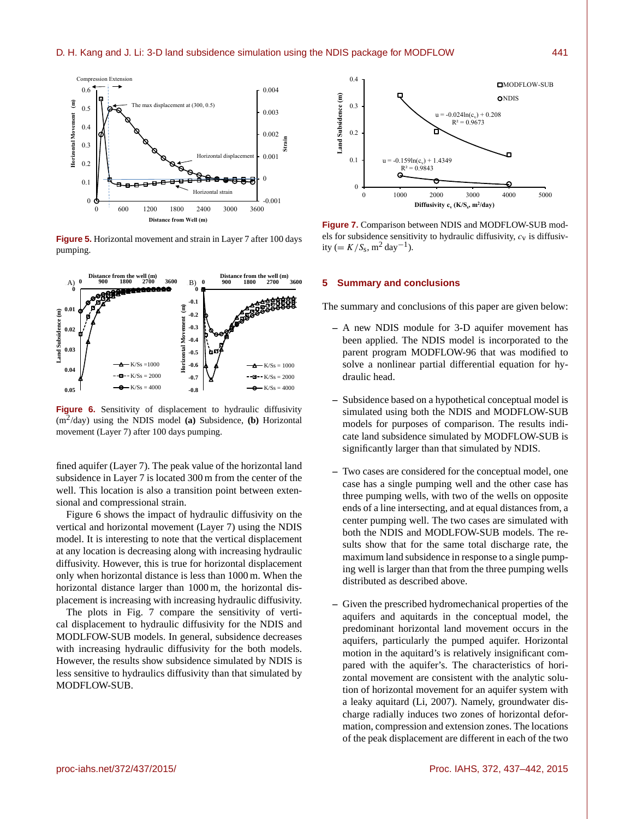

**Figure 5.** Horizontal movement and strain in Layer 7 after 100 days pumping.



**Figure 6.** Sensitivity of displacement to hydraulic diffusivity (m<sup>2</sup> /day) using the NDIS model **(a)** Subsidence, **(b)** Horizontal movement (Layer 7) after 100 days pumping.

fined aquifer (Layer 7). The peak value of the horizontal land subsidence in Layer 7 is located 300 m from the center of the well. This location is also a transition point between extensional and compressional strain.

Figure 6 shows the impact of hydraulic diffusivity on the vertical and horizontal movement (Layer 7) using the NDIS model. It is interesting to note that the vertical displacement at any location is decreasing along with increasing hydraulic diffusivity. However, this is true for horizontal displacement only when horizontal distance is less than 1000 m. When the horizontal distance larger than 1000 m, the horizontal displacement is increasing with increasing hydraulic diffusivity.

The plots in Fig. 7 compare the sensitivity of vertical displacement to hydraulic diffusivity for the NDIS and MODLFOW-SUB models. In general, subsidence decreases with increasing hydraulic diffusivity for the both models. However, the results show subsidence simulated by NDIS is less sensitive to hydraulics diffusivity than that simulated by MODFLOW-SUB.



**Figure 7.** Comparison between NDIS and MODFLOW-SUB models for subsidence sensitivity to hydraulic diffusivity,  $c_v$  is diffusivity (=  $K/S_s$ , m<sup>2</sup> day<sup>-1</sup>).

# **5 Summary and conclusions**

The summary and conclusions of this paper are given below:

- **–** A new NDIS module for 3-D aquifer movement has been applied. The NDIS model is incorporated to the parent program MODFLOW-96 that was modified to solve a nonlinear partial differential equation for hydraulic head.
- **–** Subsidence based on a hypothetical conceptual model is simulated using both the NDIS and MODFLOW-SUB models for purposes of comparison. The results indicate land subsidence simulated by MODFLOW-SUB is significantly larger than that simulated by NDIS.
- **–** Two cases are considered for the conceptual model, one case has a single pumping well and the other case has three pumping wells, with two of the wells on opposite ends of a line intersecting, and at equal distances from, a center pumping well. The two cases are simulated with both the NDIS and MODLFOW-SUB models. The results show that for the same total discharge rate, the maximum land subsidence in response to a single pumping well is larger than that from the three pumping wells distributed as described above.
- **–** Given the prescribed hydromechanical properties of the aquifers and aquitards in the conceptual model, the predominant horizontal land movement occurs in the aquifers, particularly the pumped aquifer. Horizontal motion in the aquitard's is relatively insignificant compared with the aquifer's. The characteristics of horizontal movement are consistent with the analytic solution of horizontal movement for an aquifer system with a leaky aquitard (Li, 2007). Namely, groundwater discharge radially induces two zones of horizontal deformation, compression and extension zones. The locations of the peak displacement are different in each of the two